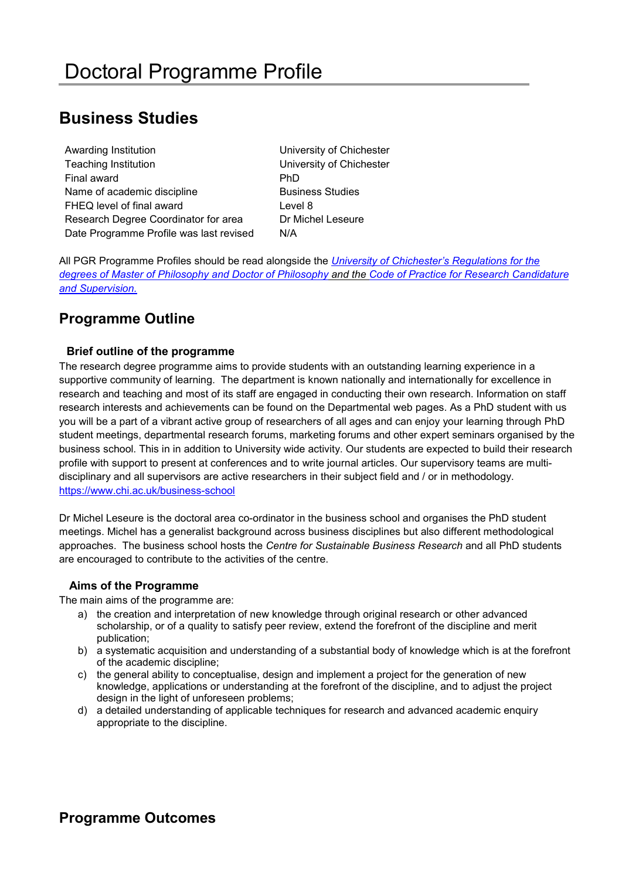# **Business Studies**

| Awarding Institution                    | Univers        |
|-----------------------------------------|----------------|
| <b>Teaching Institution</b>             | Univers        |
| Final award                             | <b>PhD</b>     |
| Name of academic discipline             | <b>Busines</b> |
| FHEQ level of final award               | Level 8        |
| Research Degree Coordinator for area    | Dr Mich        |
| Date Programme Profile was last revised | N/A            |
|                                         |                |

University of Chichester University of Chichester **Business Studies Dr Michel Leseure** 

All PGR Programme Profiles should be read alongside the *[University of Chichester's Regulations for the](https://www.chi.ac.uk/about-us/policies-and-statements)  [degrees of Master of Philosophy and Doctor of Philosophy](https://www.chi.ac.uk/about-us/policies-and-statements) and the [Code of Practice for Research Candidature](https://www.chi.ac.uk/about-us/policies-and-statements)  [and Supervision.](https://www.chi.ac.uk/about-us/policies-and-statements)*

## **Programme Outline**

### **Brief outline of the programme**

The research degree programme aims to provide students with an outstanding learning experience in a supportive community of learning. The department is known nationally and internationally for excellence in research and teaching and most of its staff are engaged in conducting their own research. Information on staff research interests and achievements can be found on the Departmental web pages. As a PhD student with us you will be a part of a vibrant active group of researchers of all ages and can enjoy your learning through PhD student meetings, departmental research forums, marketing forums and other expert seminars organised by the business school. This in in addition to University wide activity. Our students are expected to build their research profile with support to present at conferences and to write journal articles. Our supervisory teams are multidisciplinary and all supervisors are active researchers in their subject field and / or in methodology. <https://www.chi.ac.uk/business-school>

Dr Michel Leseure is the doctoral area co-ordinator in the business school and organises the PhD student meetings. Michel has a generalist background across business disciplines but also different methodological approaches. The business school hosts the *Centre for Sustainable Business Research* and all PhD students are encouraged to contribute to the activities of the centre.

#### **Aims of the Programme**

The main aims of the programme are:

- a) the creation and interpretation of new knowledge through original research or other advanced scholarship, or of a quality to satisfy peer review, extend the forefront of the discipline and merit publication;
- b) a systematic acquisition and understanding of a substantial body of knowledge which is at the forefront of the academic discipline;
- c) the general ability to conceptualise, design and implement a project for the generation of new knowledge, applications or understanding at the forefront of the discipline, and to adjust the project design in the light of unforeseen problems;
- d) a detailed understanding of applicable techniques for research and advanced academic enquiry appropriate to the discipline.

## **Programme Outcomes**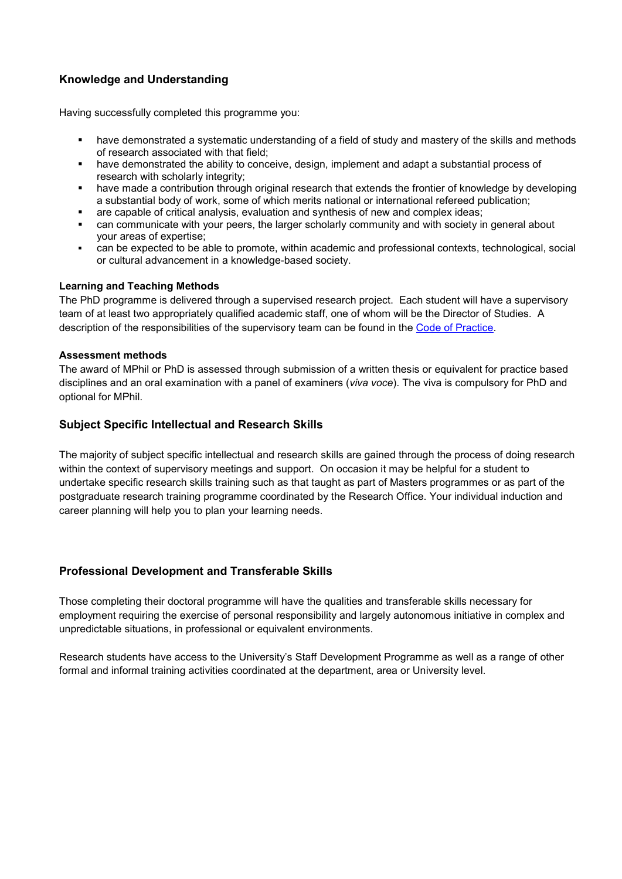### **Knowledge and Understanding**

Having successfully completed this programme you:

- have demonstrated a systematic understanding of a field of study and mastery of the skills and methods of research associated with that field;
- have demonstrated the ability to conceive, design, implement and adapt a substantial process of research with scholarly integrity;
- have made a contribution through original research that extends the frontier of knowledge by developing a substantial body of work, some of which merits national or international refereed publication;
- are capable of critical analysis, evaluation and synthesis of new and complex ideas;
- can communicate with your peers, the larger scholarly community and with society in general about your areas of expertise;
- can be expected to be able to promote, within academic and professional contexts, technological, social or cultural advancement in a knowledge-based society.

#### **Learning and Teaching Methods**

The PhD programme is delivered through a supervised research project. Each student will have a supervisory team of at least two appropriately qualified academic staff, one of whom will be the Director of Studies. A description of the responsibilities of the supervisory team can be found in the [Code of Practice.](https://www.chi.ac.uk/about-us/policies-and-statements)

#### **Assessment methods**

The award of MPhil or PhD is assessed through submission of a written thesis or equivalent for practice based disciplines and an oral examination with a panel of examiners (*viva voce*). The viva is compulsory for PhD and optional for MPhil.

#### **Subject Specific Intellectual and Research Skills**

The majority of subject specific intellectual and research skills are gained through the process of doing research within the context of supervisory meetings and support. On occasion it may be helpful for a student to undertake specific research skills training such as that taught as part of Masters programmes or as part of the postgraduate research training programme coordinated by the Research Office. Your individual induction and career planning will help you to plan your learning needs.

#### **Professional Development and Transferable Skills**

Those completing their doctoral programme will have the qualities and transferable skills necessary for employment requiring the exercise of personal responsibility and largely autonomous initiative in complex and unpredictable situations, in professional or equivalent environments.

Research students have access to the University's Staff Development Programme as well as a range of other formal and informal training activities coordinated at the department, area or University level.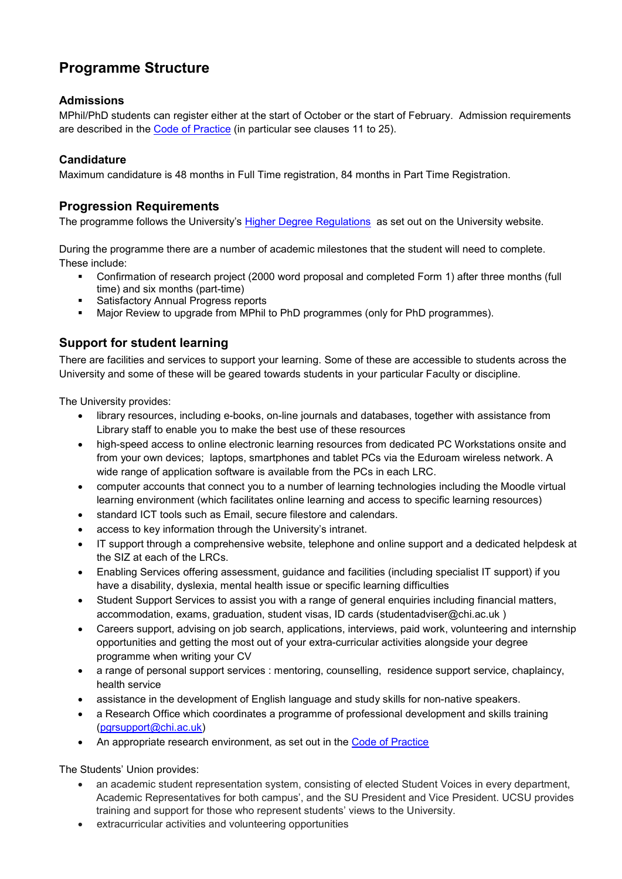# **Programme Structure**

### **Admissions**

MPhil/PhD students can register either at the start of October or the start of February. Admission requirements are described in the [Code of Practice](https://www.chi.ac.uk/about-us/policies-and-statements) (in particular see clauses 11 to 25).

### **Candidature**

Maximum candidature is 48 months in Full Time registration, 84 months in Part Time Registration.

### **Progression Requirements**

The programme follows the University's [Higher Degree Regulations](hhttps://www.chi.ac.uk/about-us/policies-and-statements) as set out on the University website.

During the programme there are a number of academic milestones that the student will need to complete. These include:

- Confirmation of research project (2000 word proposal and completed Form 1) after three months (full time) and six months (part-time)
- Satisfactory Annual Progress reports
- Major Review to upgrade from MPhil to PhD programmes (only for PhD programmes).

## **Support for student learning**

There are facilities and services to support your learning. Some of these are accessible to students across the University and some of these will be geared towards students in your particular Faculty or discipline.

The University provides:

- library resources, including e-books, on-line journals and databases, together with assistance from Library staff to enable you to make the best use of these resources
- high-speed access to online electronic learning resources from dedicated PC Workstations onsite and from your own devices; laptops, smartphones and tablet PCs via the Eduroam wireless network. A wide range of application software is available from the PCs in each LRC.
- computer accounts that connect you to a number of learning technologies including the Moodle virtual learning environment (which facilitates online learning and access to specific learning resources)
- standard ICT tools such as Email, secure filestore and calendars.
- access to key information through the University's intranet.
- IT support through a comprehensive website, telephone and online support and a dedicated helpdesk at the SIZ at each of the LRCs.
- Enabling Services offering assessment, guidance and facilities (including specialist IT support) if you have a disability, dyslexia, mental health issue or specific learning difficulties
- Student Support Services to assist you with a range of general enquiries including financial matters, accommodation, exams, graduation, student visas, ID cards (studentadviser@chi.ac.uk )
- Careers support, advising on job search, applications, interviews, paid work, volunteering and internship opportunities and getting the most out of your extra-curricular activities alongside your degree programme when writing your CV
- a range of personal support services : mentoring, counselling, residence support service, chaplaincy, health service
- assistance in the development of English language and study skills for non-native speakers.
- a Research Office which coordinates a programme of professional development and skills training [\(pgrsupport@chi.ac.uk\)](mailto:pgrsupport@chi.ac.uk)
- An appropriate research environment, as set out in the [Code of Practice](https://www.chi.ac.uk/about-us/policies-and-statements)

The Students' Union provides:

- an academic student representation system, consisting of elected Student Voices in every department, Academic Representatives for both campus', and the SU President and Vice President. UCSU provides training and support for those who represent students' views to the University.
- extracurricular activities and volunteering opportunities